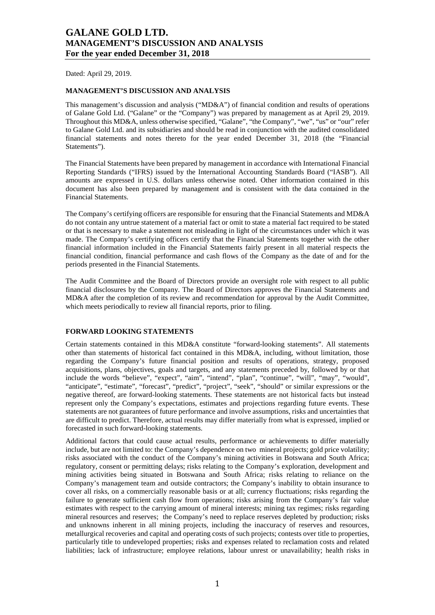Dated: April 29, 2019.

#### **MANAGEMENT'S DISCUSSION AND ANALYSIS**

This management's discussion and analysis ("MD&A") of financial condition and results of operations of Galane Gold Ltd. ("Galane" or the "Company") was prepared by management as at April 29, 2019. Throughout this MD&A, unless otherwise specified, "Galane", "the Company", "we", "us" or "our" refer to Galane Gold Ltd. and its subsidiaries and should be read in conjunction with the audited consolidated financial statements and notes thereto for the year ended December 31, 2018 (the "Financial Statements").

The Financial Statements have been prepared by management in accordance with International Financial Reporting Standards ("IFRS) issued by the International Accounting Standards Board ("IASB"). All amounts are expressed in U.S. dollars unless otherwise noted. Other information contained in this document has also been prepared by management and is consistent with the data contained in the Financial Statements.

The Company's certifying officers are responsible for ensuring that the Financial Statements and MD&A do not contain any untrue statement of a material fact or omit to state a material fact required to be stated or that is necessary to make a statement not misleading in light of the circumstances under which it was made. The Company's certifying officers certify that the Financial Statements together with the other financial information included in the Financial Statements fairly present in all material respects the financial condition, financial performance and cash flows of the Company as the date of and for the periods presented in the Financial Statements.

The Audit Committee and the Board of Directors provide an oversight role with respect to all public financial disclosures by the Company. The Board of Directors approves the Financial Statements and MD&A after the completion of its review and recommendation for approval by the Audit Committee, which meets periodically to review all financial reports, prior to filing.

#### **FORWARD LOOKING STATEMENTS**

Certain statements contained in this MD&A constitute "forward-looking statements". All statements other than statements of historical fact contained in this MD&A, including, without limitation, those regarding the Company's future financial position and results of operations, strategy, proposed acquisitions, plans, objectives, goals and targets, and any statements preceded by, followed by or that include the words "believe", "expect", "aim", "intend", "plan", "continue", "will", "may", "would", "anticipate", "estimate", "forecast", "predict", "project", "seek", "should" or similar expressions or the negative thereof, are forward-looking statements. These statements are not historical facts but instead represent only the Company's expectations, estimates and projections regarding future events. These statements are not guarantees of future performance and involve assumptions, risks and uncertainties that are difficult to predict. Therefore, actual results may differ materially from what is expressed, implied or forecasted in such forward-looking statements.

Additional factors that could cause actual results, performance or achievements to differ materially include, but are not limited to: the Company's dependence on two mineral projects; gold price volatility; risks associated with the conduct of the Company's mining activities in Botswana and South Africa; regulatory, consent or permitting delays; risks relating to the Company's exploration, development and mining activities being situated in Botswana and South Africa; risks relating to reliance on the Company's management team and outside contractors; the Company's inability to obtain insurance to cover all risks, on a commercially reasonable basis or at all; currency fluctuations; risks regarding the failure to generate sufficient cash flow from operations; risks arising from the Company's fair value estimates with respect to the carrying amount of mineral interests; mining tax regimes; risks regarding mineral resources and reserves; the Company's need to replace reserves depleted by production; risks and unknowns inherent in all mining projects, including the inaccuracy of reserves and resources, metallurgical recoveries and capital and operating costs of such projects; contests over title to properties, particularly title to undeveloped properties; risks and expenses related to reclamation costs and related liabilities; lack of infrastructure; employee relations, labour unrest or unavailability; health risks in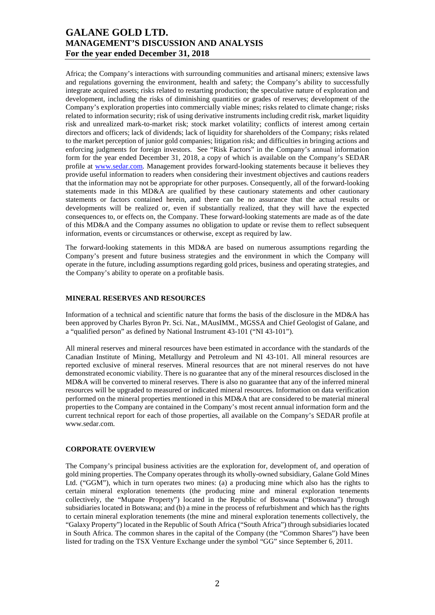Africa; the Company's interactions with surrounding communities and artisanal miners; extensive laws and regulations governing the environment, health and safety; the Company's ability to successfully integrate acquired assets; risks related to restarting production; the speculative nature of exploration and development, including the risks of diminishing quantities or grades of reserves; development of the Company's exploration properties into commercially viable mines; risks related to climate change; risks related to information security; risk of using derivative instruments including credit risk, market liquidity risk and unrealized mark-to-market risk; stock market volatility; conflicts of interest among certain directors and officers; lack of dividends; lack of liquidity for shareholders of the Company; risks related to the market perception of junior gold companies; litigation risk; and difficulties in bringing actions and enforcing judgments for foreign investors. See "Risk Factors" in the Company's annual information form for the year ended December 31, 2018, a copy of which is available on the Company's SEDAR profile at [www.sedar.com](http://www.sedar.com/). Management provides forward-looking statements because it believes they provide useful information to readers when considering their investment objectives and cautions readers that the information may not be appropriate for other purposes. Consequently, all of the forward-looking statements made in this MD&A are qualified by these cautionary statements and other cautionary statements or factors contained herein, and there can be no assurance that the actual results or developments will be realized or, even if substantially realized, that they will have the expected consequences to, or effects on, the Company. These forward-looking statements are made as of the date of this MD&A and the Company assumes no obligation to update or revise them to reflect subsequent information, events or circumstances or otherwise, except as required by law.

The forward-looking statements in this MD&A are based on numerous assumptions regarding the Company's present and future business strategies and the environment in which the Company will operate in the future, including assumptions regarding gold prices, business and operating strategies, and the Company's ability to operate on a profitable basis.

#### **MINERAL RESERVES AND RESOURCES**

Information of a technical and scientific nature that forms the basis of the disclosure in the MD&A has been approved by Charles Byron Pr. Sci. Nat., MAusIMM., MGSSA and Chief Geologist of Galane, and a "qualified person" as defined by National Instrument 43-101 ("NI 43-101").

All mineral reserves and mineral resources have been estimated in accordance with the standards of the Canadian Institute of Mining, Metallurgy and Petroleum and NI 43-101. All mineral resources are reported exclusive of mineral reserves. Mineral resources that are not mineral reserves do not have demonstrated economic viability. There is no guarantee that any of the mineral resources disclosed in the MD&A will be converted to mineral reserves. There is also no guarantee that any of the inferred mineral resources will be upgraded to measured or indicated mineral resources. Information on data verification performed on the mineral properties mentioned in this MD&A that are considered to be material mineral properties to the Company are contained in the Company's most recent annual information form and the current technical report for each of those properties, all available on the Company's SEDAR profile at www.sedar.com.

#### **CORPORATE OVERVIEW**

The Company's principal business activities are the exploration for, development of, and operation of gold mining properties. The Company operates through its wholly-owned subsidiary, Galane Gold Mines Ltd. ("GGM"), which in turn operates two mines: (a) a producing mine which also has the rights to certain mineral exploration tenements (the producing mine and mineral exploration tenements collectively, the "Mupane Property") located in the Republic of Botswana ("Botswana") through subsidiaries located in Botswana; and (b) a mine in the process of refurbishment and which has the rights to certain mineral exploration tenements (the mine and mineral exploration tenements collectively, the "Galaxy Property") located in the Republic of South Africa ("South Africa") through subsidiaries located in South Africa. The common shares in the capital of the Company (the "Common Shares") have been listed for trading on the TSX Venture Exchange under the symbol "GG" since September 6, 2011.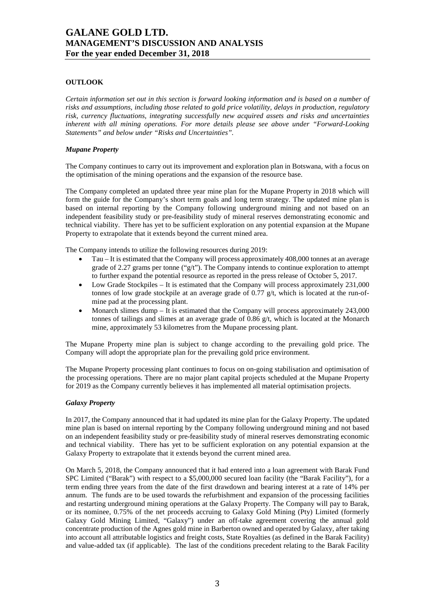## **OUTLOOK**

*Certain information set out in this section is forward looking information and is based on a number of risks and assumptions, including those related to gold price volatility, delays in production, regulatory risk, currency fluctuations, integrating successfully new acquired assets and risks and uncertainties inherent with all mining operations. For more details please see above under "Forward-Looking Statements" and below under "Risks and Uncertainties".* 

#### *Mupane Property*

The Company continues to carry out its improvement and exploration plan in Botswana, with a focus on the optimisation of the mining operations and the expansion of the resource base.

The Company completed an updated three year mine plan for the Mupane Property in 2018 which will form the guide for the Company's short term goals and long term strategy. The updated mine plan is based on internal reporting by the Company following underground mining and not based on an independent feasibility study or pre-feasibility study of mineral reserves demonstrating economic and technical viability. There has yet to be sufficient exploration on any potential expansion at the Mupane Property to extrapolate that it extends beyond the current mined area.

The Company intends to utilize the following resources during 2019:

- Tau It is estimated that the Company will process approximately 408,000 tonnes at an average grade of 2.27 grams per tonne ("g/t"). The Company intends to continue exploration to attempt to further expand the potential resource as reported in the press release of October 5, 2017.
- Low Grade Stockpiles It is estimated that the Company will process approximately 231,000 tonnes of low grade stockpile at an average grade of 0.77  $g/t$ , which is located at the run-ofmine pad at the processing plant.
- Monarch slimes dump It is estimated that the Company will process approximately 243,000 tonnes of tailings and slimes at an average grade of  $0.86 \text{ g/t}$ , which is located at the Monarch mine, approximately 53 kilometres from the Mupane processing plant.

The Mupane Property mine plan is subject to change according to the prevailing gold price. The Company will adopt the appropriate plan for the prevailing gold price environment.

The Mupane Property processing plant continues to focus on on-going stabilisation and optimisation of the processing operations. There are no major plant capital projects scheduled at the Mupane Property for 2019 as the Company currently believes it has implemented all material optimisation projects.

#### *Galaxy Property*

In 2017, the Company announced that it had updated its mine plan for the Galaxy Property. The updated mine plan is based on internal reporting by the Company following underground mining and not based on an independent feasibility study or pre-feasibility study of mineral reserves demonstrating economic and technical viability. There has yet to be sufficient exploration on any potential expansion at the Galaxy Property to extrapolate that it extends beyond the current mined area.

On March 5, 2018, the Company announced that it had entered into a loan agreement with Barak Fund SPC Limited ("Barak") with respect to a \$5,000,000 secured loan facility (the "Barak Facility"), for a term ending three years from the date of the first drawdown and bearing interest at a rate of 14% per annum. The funds are to be used towards the refurbishment and expansion of the processing facilities and restarting underground mining operations at the Galaxy Property. The Company will pay to Barak, or its nominee, 0.75% of the net proceeds accruing to Galaxy Gold Mining (Pty) Limited (formerly Galaxy Gold Mining Limited, "Galaxy") under an off-take agreement covering the annual gold concentrate production of the Agnes gold mine in Barberton owned and operated by Galaxy, after taking into account all attributable logistics and freight costs, State Royalties (as defined in the Barak Facility) and value-added tax (if applicable). The last of the conditions precedent relating to the Barak Facility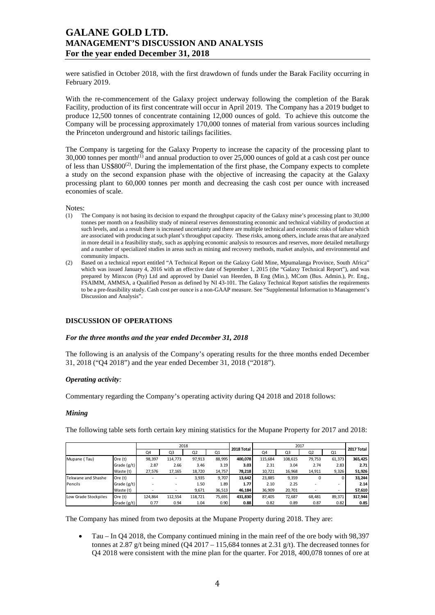were satisfied in October 2018, with the first drawdown of funds under the Barak Facility occurring in February 2019.

With the re-commencement of the Galaxy project underway following the completion of the Barak Facility, production of its first concentrate will occur in April 2019. The Company has a 2019 budget to produce 12,500 tonnes of concentrate containing 12,000 ounces of gold. To achieve this outcome the Company will be processing approximately 170,000 tonnes of material from various sources including the Princeton underground and historic tailings facilities.

The Company is targeting for the Galaxy Property to increase the capacity of the processing plant to  $30,000$  tonnes per month<sup>(1)</sup> and annual production to over 25,000 ounces of gold at a cash cost per ounce of less than  $US\$  $800^{(2)}$ . During the implementation of the first phase, the Company expects to complete a study on the second expansion phase with the objective of increasing the capacity at the Galaxy processing plant to 60,000 tonnes per month and decreasing the cash cost per ounce with increased economies of scale.

Notes:<br>(1)  $T$ 

- (1) The Company is not basing its decision to expand the throughput capacity of the Galaxy mine's processing plant to 30,000 tonnes per month on a feasibility study of mineral reserves demonstrating economic and technical viability of production at such levels, and as a result there is increased uncertainty and there are multiple technical and economic risks of failure which are associated with producing at such plant's throughput capacity. These risks, among others, include areas that are analyzed in more detail in a feasibility study, such as applying economic analysis to resources and reserves, more detailed metallurgy and a number of specialized studies in areas such as mining and recovery methods, market analysis, and environmental and community impacts.
- (2) Based on a technical report entitled "A Technical Report on the Galaxy Gold Mine, Mpumalanga Province, South Africa" which was issued January 4, 2016 with an effective date of September 1, 2015 (the "Galaxy Technical Report"), and was prepared by Minxcon (Pty) Ltd and approved by Daniel van Heerden, B Eng (Min.), MCom (Bus. Admin.), Pr. Eng., FSAIMM, AMMSA, a Qualified Person as defined by NI 43-101. The Galaxy Technical Report satisfies the requirements to be a pre-feasibility study. Cash cost per ounce is a non-GAAP measure. See "Supplemental Information to Management's Discussion and Analysis".

### **DISCUSSION OF OPERATIONS**

#### *For the three months and the year ended December 31, 2018*

The following is an analysis of the Company's operating results for the three months ended December 31, 2018 ("Q4 2018") and the year ended December 31, 2018 ("2018").

#### *Operating activity:*

Commentary regarding the Company's operating activity during Q4 2018 and 2018 follows:

#### *Mining*

The following table sets forth certain key mining statistics for the Mupane Property for 2017 and 2018:

|                      |             | 2018    |         |                |        | 2018 Total |         |         | 2017 Total     |        |         |
|----------------------|-------------|---------|---------|----------------|--------|------------|---------|---------|----------------|--------|---------|
|                      |             | Q4      | Q3      | Q <sub>2</sub> | Q1     |            | Q4      | Q3      | Q <sub>2</sub> | Q1     |         |
| Mupane (Tau)         | Ore (t)     | 98,397  | 114,773 | 97,913         | 88,995 | 400.078    | 115,684 | 108,615 | 79,753         | 61,373 | 365,425 |
|                      | Grade (g/t) | 2.87    | 2.66    | 3.46           | 3.19   | 3.03       | 2.31    | 3.04    | 2.74           | 2.83   | 2.71    |
|                      | Waste (t)   | 27,576  | 17,165  | 18,720         | 14,757 | 78,218     | 10,721  | 16,968  | 14,911         | 9,326  | 51,926  |
| Tekwane and Shashe   | Ore (t)     |         |         | 3,935          | 9,707  | 13,642     | 23,885  | 9,359   | 0              |        | 33,244  |
| Pencils              | Grade (g/t) |         |         | 1.50           | 1.89   | 1.77       | 2.10    | 2.25    |                | -      | 2.14    |
|                      | Waste (t)   |         | $\sim$  | 9,671          | 36,513 | 46,184     | 36,909  | 20,701  |                | $\sim$ | 57,610  |
| Low Grade Stockpiles | Ore (t)     | 124.864 | 112,554 | 118,721        | 75,691 | 431.830    | 87.405  | 72,687  | 68,481         | 89,371 | 317,944 |
|                      | Grade (g/t) | 0.77    | 0.94    | 1.04           | 0.90   | 0.88       | 0.82    | 0.89    | 0.87           | 0.82   | 0.85    |

The Company has mined from two deposits at the Mupane Property during 2018. They are:

• Tau – In Q4 2018, the Company continued mining in the main reef of the ore body with 98,397 tonnes at 2.87 g/t being mined (Q4 2017 – 115,684 tonnes at 2.31 g/t). The decreased tonnes for Q4 2018 were consistent with the mine plan for the quarter. For 2018, 400,078 tonnes of ore at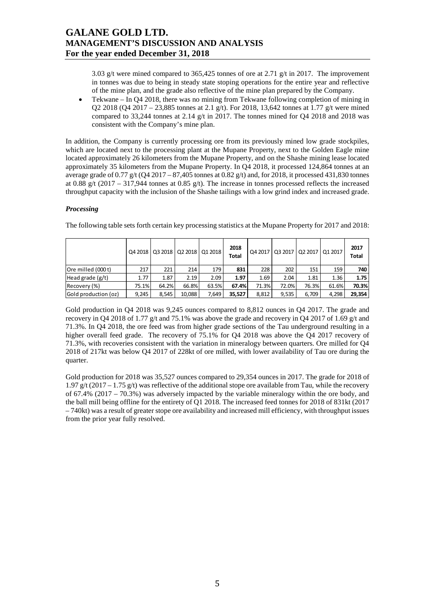3.03 g/t were mined compared to 365,425 tonnes of ore at 2.71 g/t in 2017. The improvement in tonnes was due to being in steady state stoping operations for the entire year and reflective of the mine plan, and the grade also reflective of the mine plan prepared by the Company.

• Tekwane – In Q4 2018, there was no mining from Tekwane following completion of mining in Q2 2018 (Q4 2017 – 23,885 tonnes at 2.1 g/t). For 2018, 13,642 tonnes at 1.77 g/t were mined compared to 33,244 tonnes at 2.14 g/t in 2017. The tonnes mined for Q4 2018 and 2018 was consistent with the Company's mine plan.

In addition, the Company is currently processing ore from its previously mined low grade stockpiles, which are located next to the processing plant at the Mupane Property, next to the Golden Eagle mine located approximately 26 kilometers from the Mupane Property, and on the Shashe mining lease located approximately 35 kilometers from the Mupane Property. In Q4 2018, it processed 124,864 tonnes at an average grade of  $0.77$  g/t (Q4 2017 – 87,405 tonnes at 0.82 g/t) and, for 2018, it processed 431,830 tonnes at 0.88 g/t (2017 – 317,944 tonnes at 0.85 g/t). The increase in tonnes processed reflects the increased throughput capacity with the inclusion of the Shashe tailings with a low grind index and increased grade.

## *Processing*

|                      |       |       |        | Q4 2018   Q3 2018   Q2 2018   Q1 2018 | 2018<br>Total | Q4 2017 |       | 03 2017 02 2017 01 2017 |       | 2017<br>Total |
|----------------------|-------|-------|--------|---------------------------------------|---------------|---------|-------|-------------------------|-------|---------------|
| Ore milled (000 t)   | 217   | 221   | 214    | 179                                   | 831           | 228     | 202   | 151                     | 159   | 740           |
| Head grade $(g/t)$   | 1.77  | 1.87  | 2.19   | 2.09                                  | 1.97          | 1.69    | 2.04  | 1.81                    | 1.36  | 1.75          |
| Recovery (%)         | 75.1% | 64.2% | 66.8%  | 63.5%                                 | 67.4%         | 71.3%   | 72.0% | 76.3%                   | 61.6% | 70.3%         |
| Gold production (oz) | 9.245 | 8.545 | 10.088 | 7.649                                 | 35.527        | 8,812   | 9,535 | 6.709                   | 4.298 | 29,354        |

The following table sets forth certain key processing statistics at the Mupane Property for 2017 and 2018:

Gold production in Q4 2018 was 9,245 ounces compared to 8,812 ounces in Q4 2017. The grade and recovery in Q4 2018 of 1.77 g/t and 75.1% was above the grade and recovery in Q4 2017 of 1.69 g/t and 71.3%. In Q4 2018, the ore feed was from higher grade sections of the Tau underground resulting in a higher overall feed grade. The recovery of 75.1% for Q4 2018 was above the Q4 2017 recovery of 71.3%, with recoveries consistent with the variation in mineralogy between quarters. Ore milled for Q4 2018 of 217kt was below Q4 2017 of 228kt of ore milled, with lower availability of Tau ore during the quarter.

Gold production for 2018 was 35,527 ounces compared to 29,354 ounces in 2017. The grade for 2018 of 1.97 g/t (2017 – 1.75 g/t) was reflective of the additional stope ore available from Tau, while the recovery of 67.4% (2017 – 70.3%) was adversely impacted by the variable mineralogy within the ore body, and the ball mill being offline for the entirety of Q1 2018. The increased feed tonnes for 2018 of 831kt (2017 – 740kt) was a result of greater stope ore availability and increased mill efficiency, with throughput issues from the prior year fully resolved.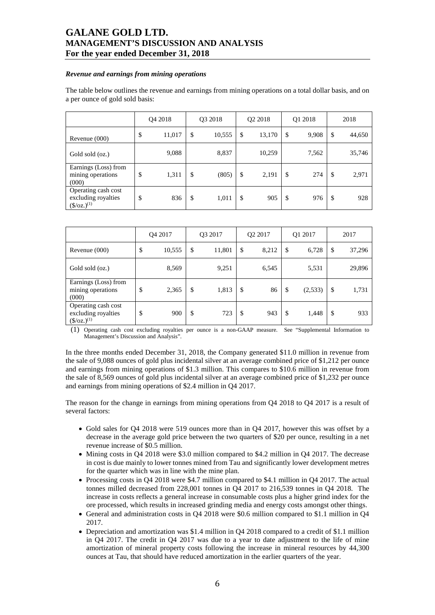#### *Revenue and earnings from mining operations*

The table below outlines the revenue and earnings from mining operations on a total dollar basis, and on a per ounce of gold sold basis:

|                                                                     | Q4 2018 |        | Q3 2018      |    | Q <sub>2</sub> 2018 |    | Q1 2018 | 2018          |        |
|---------------------------------------------------------------------|---------|--------|--------------|----|---------------------|----|---------|---------------|--------|
| Revenue $(000)$                                                     | \$      | 11,017 | \$<br>10,555 | \$ | 13,170              | \$ | 9,908   | <sup>\$</sup> | 44,650 |
| Gold sold (oz.)                                                     |         | 9,088  | 8,837        |    | 10,259              |    | 7,562   |               | 35,746 |
| Earnings (Loss) from<br>mining operations<br>(000)                  | \$      | 1,311  | \$<br>(805)  | \$ | 2,191               | \$ | 274     | \$            | 2,971  |
| Operating cash cost<br>excluding royalties<br>$(\frac{\csc(1)}{2})$ | \$      | 836    | \$<br>1,011  | \$ | 905                 | \$ | 976     | \$            | 928    |

|                                                                     | O <sub>4</sub> 2017 |        | O <sub>3</sub> 2017 |    | O <sub>2</sub> 2017 |    | Q1 2017 |    | 2017   |  |
|---------------------------------------------------------------------|---------------------|--------|---------------------|----|---------------------|----|---------|----|--------|--|
| Revenue (000)                                                       | \$                  | 10,555 | \$<br>11,801        | \$ | 8,212               | \$ | 6,728   | \$ | 37,296 |  |
| Gold sold (oz.)                                                     |                     | 8,569  | 9,251               |    | 6,545               |    | 5,531   |    | 29,896 |  |
| Earnings (Loss) from<br>mining operations<br>(000)                  | \$                  | 2,365  | \$<br>1,813         | \$ | 86                  | \$ | (2,533) | \$ | 1,731  |  |
| Operating cash cost<br>excluding royalties<br>$(\frac{\csc(1)}{2})$ | \$                  | 900    | \$<br>723           | \$ | 943                 | \$ | 1,448   | \$ | 933    |  |

(1) Operating cash cost excluding royalties per ounce is a non-GAAP measure. See "Supplemental Information to Management's Discussion and Analysis".

In the three months ended December 31, 2018, the Company generated \$11.0 million in revenue from the sale of 9,088 ounces of gold plus incidental silver at an average combined price of \$1,212 per ounce and earnings from mining operations of \$1.3 million. This compares to \$10.6 million in revenue from the sale of 8,569 ounces of gold plus incidental silver at an average combined price of \$1,232 per ounce and earnings from mining operations of \$2.4 million in Q4 2017.

The reason for the change in earnings from mining operations from Q4 2018 to Q4 2017 is a result of several factors:

- Gold sales for Q4 2018 were 519 ounces more than in Q4 2017, however this was offset by a decrease in the average gold price between the two quarters of \$20 per ounce, resulting in a net revenue increase of \$0.5 million.
- Mining costs in Q4 2018 were \$3.0 million compared to \$4.2 million in Q4 2017. The decrease in cost is due mainly to lower tonnes mined from Tau and significantly lower development metres for the quarter which was in line with the mine plan.
- Processing costs in Q4 2018 were \$4.7 million compared to \$4.1 million in Q4 2017. The actual tonnes milled decreased from 228,001 tonnes in Q4 2017 to 216,539 tonnes in Q4 2018. The increase in costs reflects a general increase in consumable costs plus a higher grind index for the ore processed, which results in increased grinding media and energy costs amongst other things.
- General and administration costs in Q4 2018 were \$0.6 million compared to \$1.1 million in Q4 2017.
- Depreciation and amortization was \$1.4 million in Q4 2018 compared to a credit of \$1.1 million in Q4 2017. The credit in Q4 2017 was due to a year to date adjustment to the life of mine amortization of mineral property costs following the increase in mineral resources by 44,300 ounces at Tau, that should have reduced amortization in the earlier quarters of the year.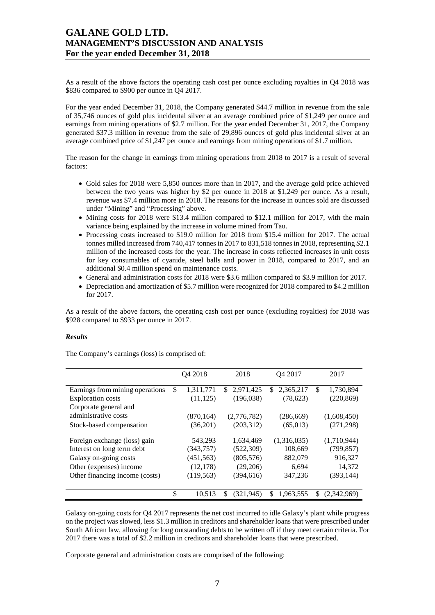As a result of the above factors the operating cash cost per ounce excluding royalties in Q4 2018 was \$836 compared to \$900 per ounce in Q4 2017.

For the year ended December 31, 2018, the Company generated \$44.7 million in revenue from the sale of 35,746 ounces of gold plus incidental silver at an average combined price of \$1,249 per ounce and earnings from mining operations of \$2.7 million. For the year ended December 31, 2017, the Company generated \$37.3 million in revenue from the sale of 29,896 ounces of gold plus incidental silver at an average combined price of \$1,247 per ounce and earnings from mining operations of \$1.7 million.

The reason for the change in earnings from mining operations from 2018 to 2017 is a result of several factors:

- Gold sales for 2018 were 5,850 ounces more than in 2017, and the average gold price achieved between the two years was higher by \$2 per ounce in 2018 at \$1,249 per ounce. As a result, revenue was \$7.4 million more in 2018. The reasons for the increase in ounces sold are discussed under "Mining" and "Processing" above.
- Mining costs for 2018 were \$13.4 million compared to \$12.1 million for 2017, with the main variance being explained by the increase in volume mined from Tau.
- Processing costs increased to \$19.0 million for 2018 from \$15.4 million for 2017. The actual tonnes milled increased from 740,417 tonnes in 2017 to 831,518 tonnes in 2018, representing \$2.1 million of the increased costs for the year. The increase in costs reflected increases in unit costs for key consumables of cyanide, steel balls and power in 2018, compared to 2017, and an additional \$0.4 million spend on maintenance costs.
- General and administration costs for 2018 were \$3.6 million compared to \$3.9 million for 2017.
- Depreciation and amortization of \$5.7 million were recognized for 2018 compared to \$4.2 million for 2017.

As a result of the above factors, the operating cash cost per ounce (excluding royalties) for 2018 was \$928 compared to \$933 per ounce in 2017.

### *Results*

The Company's earnings (loss) is comprised of:

|                                 | Q4 2018         | 2018            | Q4 2017          |    | 2017        |
|---------------------------------|-----------------|-----------------|------------------|----|-------------|
| Earnings from mining operations | \$<br>1,311,771 | \$<br>2,971,425 | \$.<br>2,365,217 | \$ | 1,730,894   |
| <b>Exploration costs</b>        | (11, 125)       | (196,038)       | (78, 623)        |    | (220, 869)  |
| Corporate general and           |                 |                 |                  |    |             |
| administrative costs            | (870, 164)      | (2,776,782)     | (286, 669)       |    | (1,608,450) |
| Stock-based compensation        | (36,201)        | (203,312)       | (65, 013)        |    | (271, 298)  |
| Foreign exchange (loss) gain    | 543,293         | 1,634,469       | (1,316,035)      |    | (1,710,944) |
| Interest on long term debt      | (343,757)       | (522, 309)      | 108,669          |    | (799, 857)  |
| Galaxy on-going costs           | (451, 563)      | (805, 576)      | 882,079          |    | 916,327     |
| Other (expenses) income         | (12, 178)       | (29,206)        | 6,694            |    | 14,372      |
| Other financing income (costs)  | (119, 563)      | (394, 616)      | 347,236          |    | (393, 144)  |
|                                 |                 |                 |                  |    |             |
|                                 | \$<br>10.513    | \$<br>(321,945) | \$<br>1,963,555  | S  | (2,342,969) |

Galaxy on-going costs for Q4 2017 represents the net cost incurred to idle Galaxy's plant while progress on the project was slowed, less \$1.3 million in creditors and shareholder loans that were prescribed under South African law, allowing for long outstanding debts to be written off if they meet certain criteria. For 2017 there was a total of \$2.2 million in creditors and shareholder loans that were prescribed.

Corporate general and administration costs are comprised of the following: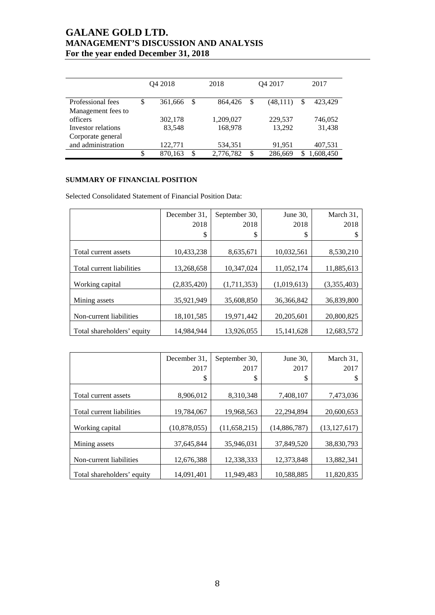|                    | Q4 2018 |         |               | 2018      |    | Q4 2017  | 2017 |           |
|--------------------|---------|---------|---------------|-----------|----|----------|------|-----------|
| Professional fees  | \$      | 361,666 | <sup>\$</sup> | 864,426   | \$ | (48,111) | \$   | 423,429   |
| Management fees to |         |         |               |           |    |          |      |           |
| officers           |         | 302,178 |               | 1,209,027 |    | 229,537  |      | 746.052   |
| Investor relations |         | 83,548  |               | 168,978   |    | 13,292   |      | 31,438    |
| Corporate general  |         |         |               |           |    |          |      |           |
| and administration |         | 122,771 |               | 534,351   |    | 91,951   |      | 407,531   |
|                    | \$      | 870,163 | \$            | 2,776,782 | \$ | 286,669  |      | 1,608,450 |

## **SUMMARY OF FINANCIAL POSITION**

Selected Consolidated Statement of Financial Position Data:

|                            | December 31,<br>2018 | September 30,<br>2018 | June $30$ ,<br>2018 | March 31,<br>2018 |
|----------------------------|----------------------|-----------------------|---------------------|-------------------|
|                            | \$                   | \$                    | \$                  |                   |
| Total current assets       | 10,433,238           | 8,635,671             | 10,032,561          | 8,530,210         |
| Total current liabilities  | 13,268,658           | 10,347,024            | 11,052,174          | 11,885,613        |
| Working capital            | (2,835,420)          | (1,711,353)           | (1,019,613)         | (3,355,403)       |
| Mining assets              | 35,921,949           | 35,608,850            | 36, 366, 842        | 36,839,800        |
| Non-current liabilities    | 18, 101, 585         | 19,971,442            | 20, 205, 601        | 20,800,825        |
| Total shareholders' equity | 14,984,944           | 13,926,055            | 15, 141, 628        | 12,683,572        |

|                            | December 31, | September 30,  | June 30,     | March 31,      |
|----------------------------|--------------|----------------|--------------|----------------|
|                            | 2017         | 2017           | 2017         | 2017           |
|                            | \$           | \$             | \$           |                |
|                            |              |                |              |                |
| Total current assets       | 8,906,012    | 8,310,348      | 7,408,107    | 7,473,036      |
| Total current liabilities  |              |                |              |                |
|                            | 19,784,067   | 19,968,563     | 22,294,894   | 20,600,653     |
| Working capital            | (10,878,055) | (11, 658, 215) | (14,886,787) | (13, 127, 617) |
| Mining assets              | 37,645,844   | 35,946,031     | 37,849,520   | 38,830,793     |
| Non-current liabilities    | 12,676,388   | 12,338,333     | 12,373,848   | 13,882,341     |
| Total shareholders' equity | 14.091.401   | 11.949.483     | 10,588,885   | 11.820.835     |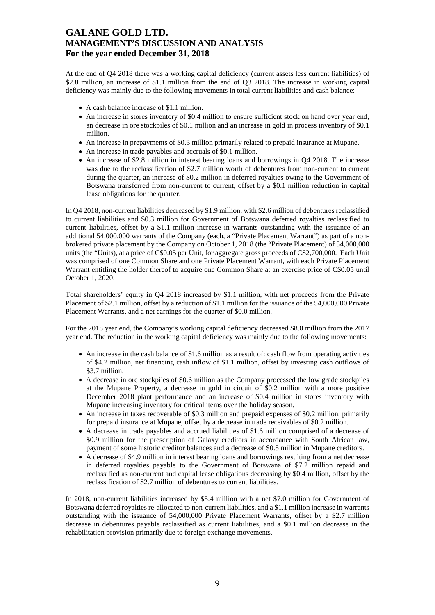At the end of Q4 2018 there was a working capital deficiency (current assets less current liabilities) of \$2.8 million, an increase of \$1.1 million from the end of Q3 2018. The increase in working capital deficiency was mainly due to the following movements in total current liabilities and cash balance:

- A cash balance increase of \$1.1 million.
- An increase in stores inventory of \$0.4 million to ensure sufficient stock on hand over year end, an decrease in ore stockpiles of \$0.1 million and an increase in gold in process inventory of \$0.1 million.
- An increase in prepayments of \$0.3 million primarily related to prepaid insurance at Mupane.
- An increase in trade payables and accruals of \$0.1 million.
- An increase of \$2.8 million in interest bearing loans and borrowings in Q4 2018. The increase was due to the reclassification of \$2.7 million worth of debentures from non-current to current during the quarter, an increase of \$0.2 million in deferred royalties owing to the Government of Botswana transferred from non-current to current, offset by a \$0.1 million reduction in capital lease obligations for the quarter.

In Q4 2018, non-current liabilities decreased by \$1.9 million, with \$2.6 million of debentures reclassified to current liabilities and \$0.3 million for Government of Botswana deferred royalties reclassified to current liabilities, offset by a \$1.1 million increase in warrants outstanding with the issuance of an additional 54,000,000 warrants of the Company (each, a "Private Placement Warrant") as part of a nonbrokered private placement by the Company on October 1, 2018 (the "Private Placement) of 54,000,000 units (the "Units), at a price of C\$0.05 per Unit, for aggregate gross proceeds of C\$2,700,000. Each Unit was comprised of one Common Share and one Private Placement Warrant, with each Private Placement Warrant entitling the holder thereof to acquire one Common Share at an exercise price of C\$0.05 until October 1, 2020.

Total shareholders' equity in Q4 2018 increased by \$1.1 million, with net proceeds from the Private Placement of \$2.1 million, offset by a reduction of \$1.1 million for the issuance of the 54,000,000 Private Placement Warrants, and a net earnings for the quarter of \$0.0 million.

For the 2018 year end, the Company's working capital deficiency decreased \$8.0 million from the 2017 year end. The reduction in the working capital deficiency was mainly due to the following movements:

- An increase in the cash balance of \$1.6 million as a result of: cash flow from operating activities of \$4.2 million, net financing cash inflow of \$1.1 million, offset by investing cash outflows of \$3.7 million.
- A decrease in ore stockpiles of \$0.6 million as the Company processed the low grade stockpiles at the Mupane Property, a decrease in gold in circuit of \$0.2 million with a more positive December 2018 plant performance and an increase of \$0.4 million in stores inventory with Mupane increasing inventory for critical items over the holiday season.
- An increase in taxes recoverable of \$0.3 million and prepaid expenses of \$0.2 million, primarily for prepaid insurance at Mupane, offset by a decrease in trade receivables of \$0.2 million.
- A decrease in trade payables and accrued liabilities of \$1.6 million comprised of a decrease of \$0.9 million for the prescription of Galaxy creditors in accordance with South African law, payment of some historic creditor balances and a decrease of \$0.5 million in Mupane creditors.
- A decrease of \$4.9 million in interest bearing loans and borrowings resulting from a net decrease in deferred royalties payable to the Government of Botswana of \$7.2 million repaid and reclassified as non-current and capital lease obligations decreasing by \$0.4 million, offset by the reclassification of \$2.7 million of debentures to current liabilities.

In 2018, non-current liabilities increased by \$5.4 million with a net \$7.0 million for Government of Botswana deferred royalties re-allocated to non-current liabilities, and a \$1.1 million increase in warrants outstanding with the issuance of 54,000,000 Private Placement Warrants, offset by a \$2.7 million decrease in debentures payable reclassified as current liabilities, and a \$0.1 million decrease in the rehabilitation provision primarily due to foreign exchange movements.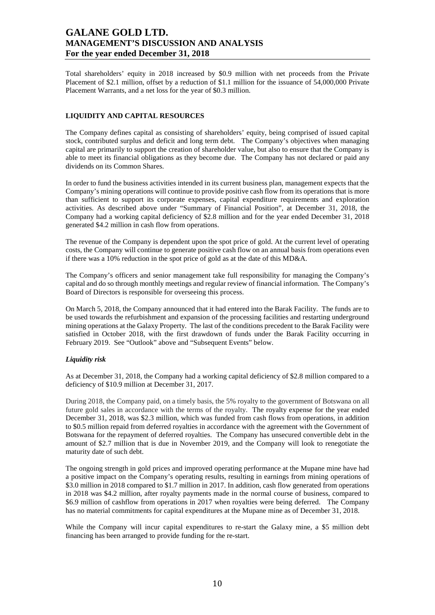Total shareholders' equity in 2018 increased by \$0.9 million with net proceeds from the Private Placement of \$2.1 million, offset by a reduction of \$1.1 million for the issuance of 54,000,000 Private Placement Warrants, and a net loss for the year of \$0.3 million.

## **LIQUIDITY AND CAPITAL RESOURCES**

The Company defines capital as consisting of shareholders' equity, being comprised of issued capital stock, contributed surplus and deficit and long term debt. The Company's objectives when managing capital are primarily to support the creation of shareholder value, but also to ensure that the Company is able to meet its financial obligations as they become due. The Company has not declared or paid any dividends on its Common Shares.

In order to fund the business activities intended in its current business plan, management expects that the Company's mining operations will continue to provide positive cash flow from its operations that is more than sufficient to support its corporate expenses, capital expenditure requirements and exploration activities. As described above under "Summary of Financial Position", at December 31, 2018, the Company had a working capital deficiency of \$2.8 million and for the year ended December 31, 2018 generated \$4.2 million in cash flow from operations.

The revenue of the Company is dependent upon the spot price of gold. At the current level of operating costs, the Company will continue to generate positive cash flow on an annual basis from operations even if there was a 10% reduction in the spot price of gold as at the date of this MD&A.

The Company's officers and senior management take full responsibility for managing the Company's capital and do so through monthly meetings and regular review of financial information. The Company's Board of Directors is responsible for overseeing this process.

On March 5, 2018, the Company announced that it had entered into the Barak Facility. The funds are to be used towards the refurbishment and expansion of the processing facilities and restarting underground mining operations at the Galaxy Property. The last of the conditions precedent to the Barak Facility were satisfied in October 2018, with the first drawdown of funds under the Barak Facility occurring in February 2019. See "Outlook" above and "Subsequent Events" below.

### *Liquidity risk*

As at December 31, 2018, the Company had a working capital deficiency of \$2.8 million compared to a deficiency of \$10.9 million at December 31, 2017.

During 2018, the Company paid, on a timely basis, the 5% royalty to the government of Botswana on all future gold sales in accordance with the terms of the royalty. The royalty expense for the year ended December 31, 2018, was \$2.3 million, which was funded from cash flows from operations, in addition to \$0.5 million repaid from deferred royalties in accordance with the agreement with the Government of Botswana for the repayment of deferred royalties. The Company has unsecured convertible debt in the amount of \$2.7 million that is due in November 2019, and the Company will look to renegotiate the maturity date of such debt.

The ongoing strength in gold prices and improved operating performance at the Mupane mine have had a positive impact on the Company's operating results, resulting in earnings from mining operations of \$3.0 million in 2018 compared to \$1.7 million in 2017. In addition, cash flow generated from operations in 2018 was \$4.2 million, after royalty payments made in the normal course of business, compared to \$6.9 million of cashflow from operations in 2017 when royalties were being deferred. The Company has no material commitments for capital expenditures at the Mupane mine as of December 31, 2018.

While the Company will incur capital expenditures to re-start the Galaxy mine, a \$5 million debt financing has been arranged to provide funding for the re-start.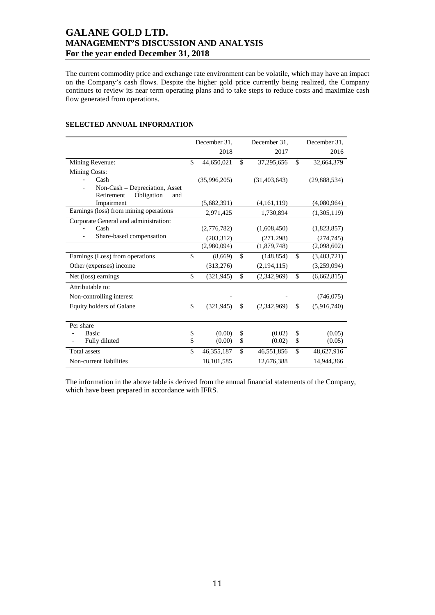The current commodity price and exchange rate environment can be volatile, which may have an impact on the Company's cash flows. Despite the higher gold price currently being realized, the Company continues to review its near term operating plans and to take steps to reduce costs and maximize cash flow generated from operations.

|                                        |                    | December 31, |               | December 31,   |               | December 31, |
|----------------------------------------|--------------------|--------------|---------------|----------------|---------------|--------------|
|                                        |                    | 2018         |               | 2017           |               | 2016         |
| Mining Revenue:                        | $\mathbf{\hat{S}}$ | 44,650,021   | \$            | 37,295,656     | $\mathcal{S}$ | 32,664,379   |
| Mining Costs:                          |                    |              |               |                |               |              |
| Cash                                   |                    | (35,996,205) |               | (31, 403, 643) |               | (29,888,534) |
| Non-Cash – Depreciation, Asset         |                    |              |               |                |               |              |
| Obligation<br>Retirement<br>and        |                    |              |               |                |               |              |
| Impairment                             |                    | (5,682,391)  |               | (4,161,119)    |               | (4,080,964)  |
| Earnings (loss) from mining operations |                    | 2,971,425    |               | 1,730,894      |               | (1,305,119)  |
| Corporate General and administration:  |                    |              |               |                |               |              |
| Cash                                   |                    | (2,776,782)  |               | (1,608,450)    |               | (1,823,857)  |
| Share-based compensation               |                    | (203, 312)   |               | (271, 298)     |               | (274, 745)   |
|                                        |                    | (2,980,094)  |               | (1,879,748)    |               | (2,098,602)  |
| Earnings (Loss) from operations        | \$                 | (8,669)      | \$            | (148, 854)     | \$            | (3,403,721)  |
| Other (expenses) income                |                    | (313,276)    |               | (2,194,115)    |               | (3,259,094)  |
| Net (loss) earnings                    | \$                 | (321, 945)   | $\mathsf{\$}$ | (2,342,969)    | \$            | (6,662,815)  |
| Attributable to:                       |                    |              |               |                |               |              |
| Non-controlling interest               |                    |              |               |                |               | (746, 075)   |
| Equity holders of Galane               | \$                 | (321, 945)   | \$            | (2,342,969)    | \$            | (5,916,740)  |
|                                        |                    |              |               |                |               |              |
| Per share                              |                    |              |               |                |               |              |
| <b>Basic</b>                           | \$                 | (0.00)       | \$            | (0.02)         | \$            | (0.05)       |
| Fully diluted                          | \$                 | (0.00)       | \$            | (0.02)         | \$            | (0.05)       |
| <b>Total</b> assets                    | \$                 | 46, 355, 187 | \$            | 46,551,856     | \$            | 48,627,916   |
| Non-current liabilities                |                    | 18,101,585   |               | 12,676,388     |               | 14,944,366   |

## **SELECTED ANNUAL INFORMATION**

The information in the above table is derived from the annual financial statements of the Company, which have been prepared in accordance with IFRS.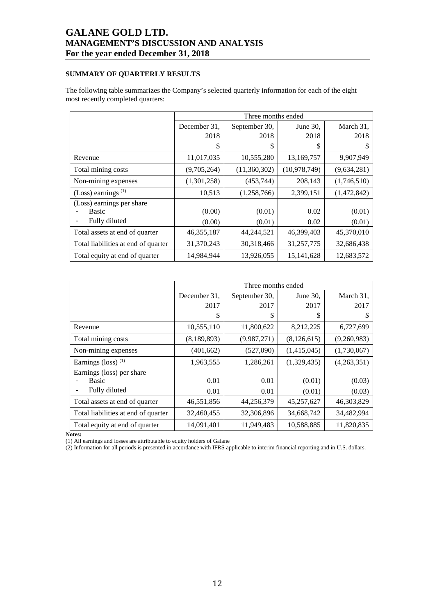## **SUMMARY OF QUARTERLY RESULTS**

The following table summarizes the Company's selected quarterly information for each of the eight most recently completed quarters:

|                                     |              | Three months ended |                |             |
|-------------------------------------|--------------|--------------------|----------------|-------------|
|                                     | December 31. | September 30,      | June 30,       | March 31,   |
|                                     | 2018         | 2018               | 2018           | 2018        |
|                                     | S            | \$                 | S              | \$          |
| Revenue                             | 11,017,035   | 10,555,280         | 13,169,757     | 9,907,949   |
| Total mining costs                  | (9,705,264)  | (11,360,302)       | (10, 978, 749) | (9,634,281) |
| Non-mining expenses                 | (1,301,258)  | (453, 744)         | 208,143        | (1,746,510) |
| (Loss) earnings $(1)$               | 10,513       | (1,258,766)        | 2,399,151      | (1,472,842) |
| (Loss) earnings per share           |              |                    |                |             |
| <b>Basic</b>                        | (0.00)       | (0.01)             | 0.02           | (0.01)      |
| Fully diluted                       | (0.00)       | (0.01)             | 0.02           | (0.01)      |
| Total assets at end of quarter      | 46, 355, 187 | 44,244,521         | 46,399,403     | 45,370,010  |
| Total liabilities at end of quarter | 31,370,243   | 30,318,466         | 31,257,775     | 32,686,438  |
| Total equity at end of quarter      | 14.984.944   | 13,926,055         | 15, 141, 628   | 12,683,572  |

|                                     |              | Three months ended |               |             |
|-------------------------------------|--------------|--------------------|---------------|-------------|
|                                     | December 31. | September 30,      | June $30$ ,   | March 31,   |
|                                     | 2017         | 2017               | 2017          | 2017        |
|                                     | S            | \$                 | S             |             |
| Revenue                             | 10,555,110   | 11,800,622         | 8,212,225     | 6,727,699   |
| Total mining costs                  | (8,189,893)  | (9,987,271)        | (8, 126, 615) | (9,260,983) |
| Non-mining expenses                 | (401, 662)   | (527,090)          | (1,415,045)   | (1,730,067) |
| Earnings (loss) $(1)$               | 1,963,555    | 1,286,261          | (1,329,435)   | (4,263,351) |
| Earnings (loss) per share           |              |                    |               |             |
| <b>Basic</b>                        | 0.01         | 0.01               | (0.01)        | (0.03)      |
| Fully diluted                       | 0.01         | 0.01               | (0.01)        | (0.03)      |
| Total assets at end of quarter      | 46,551,856   | 44,256,379         | 45,257,627    | 46,303,829  |
| Total liabilities at end of quarter | 32,460,455   | 32,306,896         | 34,668,742    | 34,482,994  |
| Total equity at end of quarter      | 14,091,401   | 11,949,483         | 10,588,885    | 11,820,835  |

**Notes:** 

(1) All earnings and losses are attributable to equity holders of Galane

(2) Information for all periods is presented in accordance with IFRS applicable to interim financial reporting and in U.S. dollars.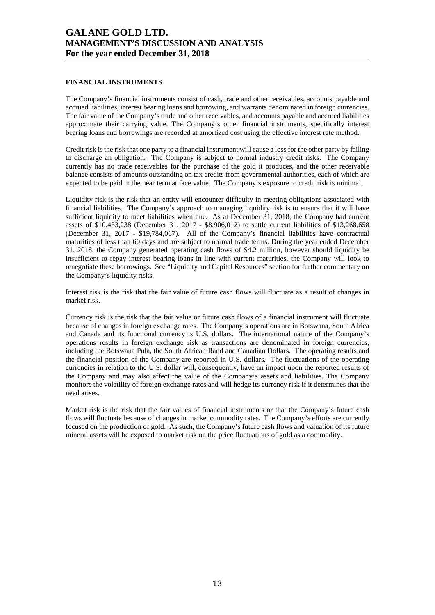#### **FINANCIAL INSTRUMENTS**

The Company's financial instruments consist of cash, trade and other receivables, accounts payable and accrued liabilities, interest bearing loans and borrowing, and warrants denominated in foreign currencies. The fair value of the Company's trade and other receivables, and accounts payable and accrued liabilities approximate their carrying value. The Company's other financial instruments, specifically interest bearing loans and borrowings are recorded at amortized cost using the effective interest rate method.

Credit risk is the risk that one party to a financial instrument will cause a loss for the other party by failing to discharge an obligation. The Company is subject to normal industry credit risks. The Company currently has no trade receivables for the purchase of the gold it produces, and the other receivable balance consists of amounts outstanding on tax credits from governmental authorities, each of which are expected to be paid in the near term at face value. The Company's exposure to credit risk is minimal.

Liquidity risk is the risk that an entity will encounter difficulty in meeting obligations associated with financial liabilities. The Company's approach to managing liquidity risk is to ensure that it will have sufficient liquidity to meet liabilities when due. As at December 31, 2018, the Company had current assets of \$10,433,238 (December 31, 2017 - \$8,906,012) to settle current liabilities of \$13,268,658 (December 31, 2017 - \$19,784,067). All of the Company's financial liabilities have contractual maturities of less than 60 days and are subject to normal trade terms. During the year ended December 31, 2018, the Company generated operating cash flows of \$4.2 million, however should liquidity be insufficient to repay interest bearing loans in line with current maturities, the Company will look to renegotiate these borrowings. See "Liquidity and Capital Resources" section for further commentary on the Company's liquidity risks.

Interest risk is the risk that the fair value of future cash flows will fluctuate as a result of changes in market risk.

Currency risk is the risk that the fair value or future cash flows of a financial instrument will fluctuate because of changes in foreign exchange rates. The Company's operations are in Botswana, South Africa and Canada and its functional currency is U.S. dollars. The international nature of the Company's operations results in foreign exchange risk as transactions are denominated in foreign currencies, including the Botswana Pula, the South African Rand and Canadian Dollars. The operating results and the financial position of the Company are reported in U.S. dollars. The fluctuations of the operating currencies in relation to the U.S. dollar will, consequently, have an impact upon the reported results of the Company and may also affect the value of the Company's assets and liabilities. The Company monitors the volatility of foreign exchange rates and will hedge its currency risk if it determines that the need arises.

Market risk is the risk that the fair values of financial instruments or that the Company's future cash flows will fluctuate because of changes in market commodity rates. The Company's efforts are currently focused on the production of gold. As such, the Company's future cash flows and valuation of its future mineral assets will be exposed to market risk on the price fluctuations of gold as a commodity.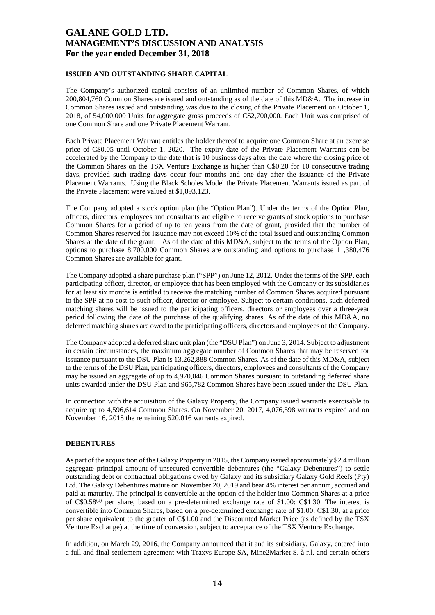## **ISSUED AND OUTSTANDING SHARE CAPITAL**

The Company's authorized capital consists of an unlimited number of Common Shares, of which 200,804,760 Common Shares are issued and outstanding as of the date of this MD&A. The increase in Common Shares issued and outstanding was due to the closing of the Private Placement on October 1, 2018, of 54,000,000 Units for aggregate gross proceeds of C\$2,700,000. Each Unit was comprised of one Common Share and one Private Placement Warrant.

Each Private Placement Warrant entitles the holder thereof to acquire one Common Share at an exercise price of C\$0.05 until October 1, 2020. The expiry date of the Private Placement Warrants can be accelerated by the Company to the date that is 10 business days after the date where the closing price of the Common Shares on the TSX Venture Exchange is higher than C\$0.20 for 10 consecutive trading days, provided such trading days occur four months and one day after the issuance of the Private Placement Warrants. Using the Black Scholes Model the Private Placement Warrants issued as part of the Private Placement were valued at \$1,093,123.

The Company adopted a stock option plan (the "Option Plan"). Under the terms of the Option Plan, officers, directors, employees and consultants are eligible to receive grants of stock options to purchase Common Shares for a period of up to ten years from the date of grant, provided that the number of Common Shares reserved for issuance may not exceed 10% of the total issued and outstanding Common Shares at the date of the grant. As of the date of this MD&A, subject to the terms of the Option Plan, options to purchase 8,700,000 Common Shares are outstanding and options to purchase 11,380,476 Common Shares are available for grant.

The Company adopted a share purchase plan ("SPP") on June 12, 2012. Under the terms of the SPP, each participating officer, director, or employee that has been employed with the Company or its subsidiaries for at least six months is entitled to receive the matching number of Common Shares acquired pursuant to the SPP at no cost to such officer, director or employee. Subject to certain conditions, such deferred matching shares will be issued to the participating officers, directors or employees over a three-year period following the date of the purchase of the qualifying shares. As of the date of this MD&A, no deferred matching shares are owed to the participating officers, directors and employees of the Company.

The Company adopted a deferred share unit plan (the "DSU Plan") on June 3, 2014. Subject to adjustment in certain circumstances, the maximum aggregate number of Common Shares that may be reserved for issuance pursuant to the DSU Plan is 13,262,888 Common Shares. As of the date of this MD&A, subject to the terms of the DSU Plan, participating officers, directors, employees and consultants of the Company may be issued an aggregate of up to 4,970,046 Common Shares pursuant to outstanding deferred share units awarded under the DSU Plan and 965,782 Common Shares have been issued under the DSU Plan.

In connection with the acquisition of the Galaxy Property, the Company issued warrants exercisable to acquire up to 4,596,614 Common Shares. On November 20, 2017, 4,076,598 warrants expired and on November 16, 2018 the remaining 520,016 warrants expired.

#### **DEBENTURES**

As part of the acquisition of the Galaxy Property in 2015, the Company issued approximately \$2.4 million aggregate principal amount of unsecured convertible debentures (the "Galaxy Debentures") to settle outstanding debt or contractual obligations owed by Galaxy and its subsidiary Galaxy Gold Reefs (Pty) Ltd. The Galaxy Debentures mature on November 20, 2019 and bear 4% interest per annum, accrued and paid at maturity. The principal is convertible at the option of the holder into Common Shares at a price of  $C$0.58<sup>(1)</sup>$  per share, based on a pre-determined exchange rate of \$1.00: C\$1.30. The interest is convertible into Common Shares, based on a pre-determined exchange rate of \$1.00: C\$1.30, at a price per share equivalent to the greater of C\$1.00 and the Discounted Market Price (as defined by the TSX Venture Exchange) at the time of conversion, subject to acceptance of the TSX Venture Exchange.

In addition, on March 29, 2016, the Company announced that it and its subsidiary, Galaxy, entered into a full and final settlement agreement with Traxys Europe SA, Mine2Market S. à r.l. and certain others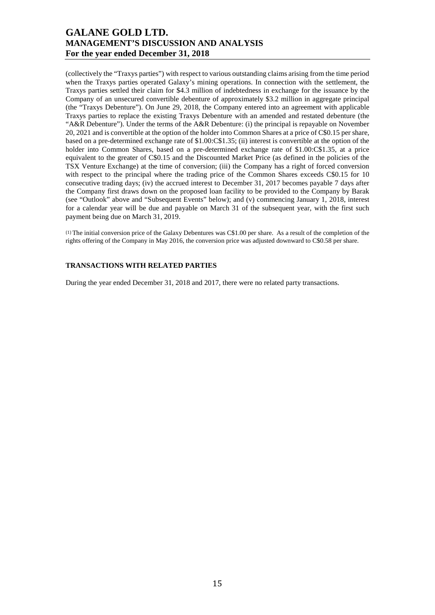(collectively the "Traxys parties") with respect to various outstanding claims arising from the time period when the Traxys parties operated Galaxy's mining operations. In connection with the settlement, the Traxys parties settled their claim for \$4.3 million of indebtedness in exchange for the issuance by the Company of an unsecured convertible debenture of approximately \$3.2 million in aggregate principal (the "Traxys Debenture"). On June 29, 2018, the Company entered into an agreement with applicable Traxys parties to replace the existing Traxys Debenture with an amended and restated debenture (the "A&R Debenture"). Under the terms of the A&R Debenture: (i) the principal is repayable on November 20, 2021 and is convertible at the option of the holder into Common Shares at a price of C\$0.15 per share, based on a pre-determined exchange rate of \$1.00:C\$1.35; (ii) interest is convertible at the option of the holder into Common Shares, based on a pre-determined exchange rate of \$1.00:C\$1.35, at a price equivalent to the greater of C\$0.15 and the Discounted Market Price (as defined in the policies of the TSX Venture Exchange) at the time of conversion; (iii) the Company has a right of forced conversion with respect to the principal where the trading price of the Common Shares exceeds C\$0.15 for 10 consecutive trading days; (iv) the accrued interest to December 31, 2017 becomes payable 7 days after the Company first draws down on the proposed loan facility to be provided to the Company by Barak (see "Outlook" above and "Subsequent Events" below); and (v) commencing January 1, 2018, interest for a calendar year will be due and payable on March 31 of the subsequent year, with the first such payment being due on March 31, 2019.

(1) The initial conversion price of the Galaxy Debentures was C\$1.00 per share. As a result of the completion of the rights offering of the Company in May 2016, the conversion price was adjusted downward to C\$0.58 per share.

## **TRANSACTIONS WITH RELATED PARTIES**

During the year ended December 31, 2018 and 2017, there were no related party transactions.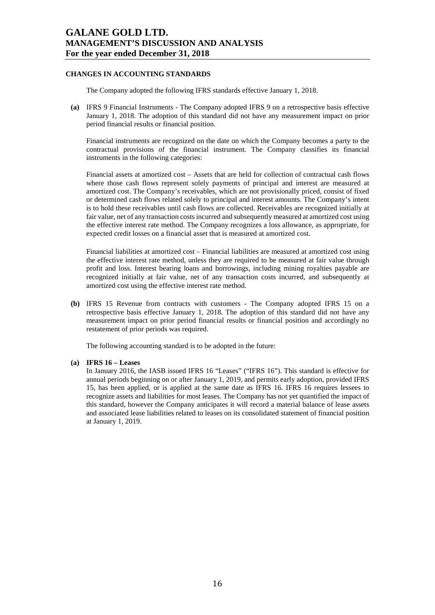#### **CHANGES IN ACCOUNTING STANDARDS**

The Company adopted the following IFRS standards effective January 1, 2018.

**(a)** IFRS 9 Financial Instruments - The Company adopted IFRS 9 on a retrospective basis effective January 1, 2018. The adoption of this standard did not have any measurement impact on prior period financial results or financial position.

Financial instruments are recognized on the date on which the Company becomes a party to the contractual provisions of the financial instrument. The Company classifies its financial instruments in the following categories:

Financial assets at amortized cost – Assets that are held for collection of contractual cash flows where those cash flows represent solely payments of principal and interest are measured at amortized cost. The Company's receivables, which are not provisionally priced, consist of fixed or determined cash flows related solely to principal and interest amounts. The Company's intent is to hold these receivables until cash flows are collected. Receivables are recognized initially at fair value, net of any transaction costs incurred and subsequently measured at amortized cost using the effective interest rate method. The Company recognizes a loss allowance, as appropriate, for expected credit losses on a financial asset that is measured at amortized cost.

Financial liabilities at amortized cost *–* Financial liabilities are measured at amortized cost using the effective interest rate method, unless they are required to be measured at fair value through profit and loss. Interest bearing loans and borrowings, including mining royalties payable are recognized initially at fair value, net of any transaction costs incurred, and subsequently at amortized cost using the effective interest rate method.

**(b)** IFRS 15 Revenue from contracts with customers - The Company adopted IFRS 15 on a retrospective basis effective January 1, 2018. The adoption of this standard did not have any measurement impact on prior period financial results or financial position and accordingly no restatement of prior periods was required.

The following accounting standard is to be adopted in the future:

#### **(a) IFRS 16 – Leases**

In January 2016, the IASB issued IFRS 16 "Leases" ("IFRS 16"). This standard is effective for annual periods beginning on or after January 1, 2019, and permits early adoption, provided IFRS 15, has been applied, or is applied at the same date as IFRS 16. IFRS 16 requires lessees to recognize assets and liabilities for most leases. The Company has not yet quantified the impact of this standard, however the Company anticipates it will record a material balance of lease assets and associated lease liabilities related to leases on its consolidated statement of financial position at January 1, 2019.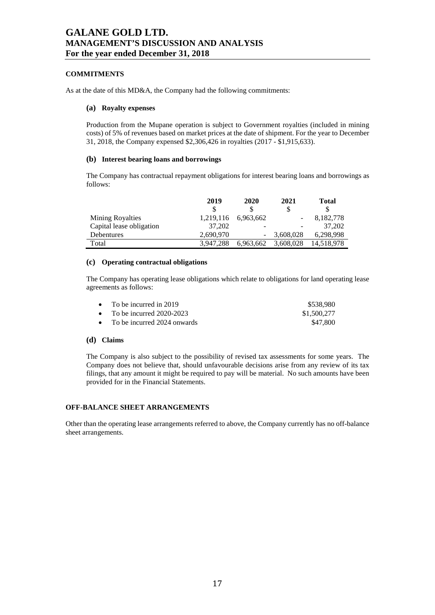### **COMMITMENTS**

As at the date of this MD&A, the Company had the following commitments:

#### **(a) Royalty expenses**

Production from the Mupane operation is subject to Government royalties (included in mining costs) of 5% of revenues based on market prices at the date of shipment. For the year to December 31, 2018, the Company expensed \$2,306,426 in royalties (2017 - \$1,915,633).

### **(b) Interest bearing loans and borrowings**

The Company has contractual repayment obligations for interest bearing loans and borrowings as follows:

|                          | 2019      | 2020      | 2021      | Total      |
|--------------------------|-----------|-----------|-----------|------------|
|                          | S         |           | \$        |            |
| <b>Mining Royalties</b>  | 1,219,116 | 6.963.662 |           | 8,182,778  |
| Capital lease obligation | 37.202    |           |           | 37,202     |
| Debentures               | 2,690,970 |           | 3,608,028 | 6,298,998  |
| Total                    | 3.947.288 | 6.963.662 | 3,608,028 | 14.518.978 |

### **(c) Operating contractual obligations**

The Company has operating lease obligations which relate to obligations for land operating lease agreements as follows:

| • To be incurred in 2019      | \$538.980   |
|-------------------------------|-------------|
| • To be incurred $2020-2023$  | \$1,500,277 |
| • To be incurred 2024 onwards | \$47.800    |

### **(d) Claims**

The Company is also subject to the possibility of revised tax assessments for some years. The Company does not believe that, should unfavourable decisions arise from any review of its tax filings, that any amount it might be required to pay will be material. No such amounts have been provided for in the Financial Statements.

### **OFF-BALANCE SHEET ARRANGEMENTS**

Other than the operating lease arrangements referred to above, the Company currently has no off-balance sheet arrangements.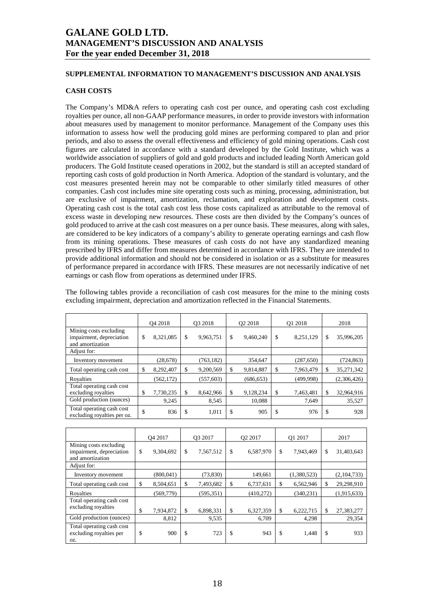### **SUPPLEMENTAL INFORMATION TO MANAGEMENT'S DISCUSSION AND ANALYSIS**

#### **CASH COSTS**

The Company's MD&A refers to operating cash cost per ounce, and operating cash cost excluding royalties per ounce, all non-GAAP performance measures, in order to provide investors with information about measures used by management to monitor performance. Management of the Company uses this information to assess how well the producing gold mines are performing compared to plan and prior periods, and also to assess the overall effectiveness and efficiency of gold mining operations. Cash cost figures are calculated in accordance with a standard developed by the Gold Institute, which was a worldwide association of suppliers of gold and gold products and included leading North American gold producers. The Gold Institute ceased operations in 2002, but the standard is still an accepted standard of reporting cash costs of gold production in North America. Adoption of the standard is voluntary, and the cost measures presented herein may not be comparable to other similarly titled measures of other companies. Cash cost includes mine site operating costs such as mining, processing, administration, but are exclusive of impairment, amortization, reclamation, and exploration and development costs. Operating cash cost is the total cash cost less those costs capitalized as attributable to the removal of excess waste in developing new resources. These costs are then divided by the Company's ounces of gold produced to arrive at the cash cost measures on a per ounce basis. These measures, along with sales, are considered to be key indicators of a company's ability to generate operating earnings and cash flow from its mining operations. These measures of cash costs do not have any standardized meaning prescribed by IFRS and differ from measures determined in accordance with IFRS. They are intended to provide additional information and should not be considered in isolation or as a substitute for measures of performance prepared in accordance with IFRS. These measures are not necessarily indicative of net earnings or cash flow from operations as determined under IFRS.

The following tables provide a reconciliation of cash cost measures for the mine to the mining costs excluding impairment, depreciation and amortization reflected in the Financial Statements.

|                                                                        | O <sub>4</sub> 2018 |            | O <sub>3</sub> 2018 |            | O <sub>2</sub> 2018 |            | O1 2018 |           | 2018 |             |
|------------------------------------------------------------------------|---------------------|------------|---------------------|------------|---------------------|------------|---------|-----------|------|-------------|
| Mining costs excluding<br>impairment, depreciation<br>and amortization |                     | 8,321,085  | \$                  | 9,963,751  | \$                  | 9,460,240  | \$      | 8,251,129 | \$   | 35,996,205  |
| Adjust for:                                                            |                     |            |                     |            |                     |            |         |           |      |             |
| Inventory movement                                                     |                     | (28, 678)  |                     | (763, 182) |                     | 354,647    |         | (287,650) |      | (724, 863)  |
| Total operating cash cost                                              | \$                  | 8,292,407  | \$                  | 9,200,569  | S                   | 9,814,887  | \$      | 7,963,479 | S    | 35,271,342  |
| Rovalties                                                              |                     | (562, 172) |                     | (557, 603) |                     | (686, 653) |         | (499.998) |      | (2,306,426) |
| Total operating cash cost<br>excluding royalties                       | S                   | 7,730,235  | \$                  | 8,642,966  |                     | 9,128,234  | \$      | 7,463,481 |      | 32,964,916  |
| Gold production (ounces)                                               |                     | 9,245      |                     | 8,545      |                     | 10,088     |         | 7,649     |      | 35,527      |
| Total operating cash cost<br>excluding royalties per oz.               | \$                  | 836        | \$                  | 1,011      | \$                  | 905        | \$      | 976       | \$   | 928         |

|                                                                        |    | O <sub>4</sub> 2017 | O3 2017         | O <sub>2</sub> 2017 | O1 2017         | 2017             |
|------------------------------------------------------------------------|----|---------------------|-----------------|---------------------|-----------------|------------------|
| Mining costs excluding<br>impairment, depreciation<br>and amortization | \$ | 9,304,692           | \$<br>7,567,512 | \$<br>6,587,970     | \$<br>7,943,469 | \$<br>31,403,643 |
| Adjust for:                                                            |    |                     |                 |                     |                 |                  |
| Inventory movement                                                     |    | (800, 041)          | (73, 830)       | 149,661             | (1,380,523)     | (2,104,733)      |
| Total operating cash cost                                              | \$ | 8,504,651           | \$<br>7,493,682 | \$<br>6,737,631     | \$<br>6,562,946 | \$<br>29,298,910 |
| Royalties                                                              |    | (569, 779)          | (595, 351)      | (410,272)           | (340, 231)      | (1,915,633)      |
| Total operating cash cost                                              |    |                     |                 |                     |                 |                  |
| excluding royalties                                                    | \$ | 7,934,872           | \$<br>6,898,331 | \$<br>6,327,359     | \$<br>6,222,715 | \$<br>27,383,277 |
| Gold production (ounces)                                               |    | 8,812               | 9,535           | 6,709               | 4,298           | 29,354           |
| Total operating cash cost<br>excluding royalties per<br>OZ.            | \$ | 900                 | \$<br>723       | \$<br>943           | \$<br>1,448     | \$<br>933        |